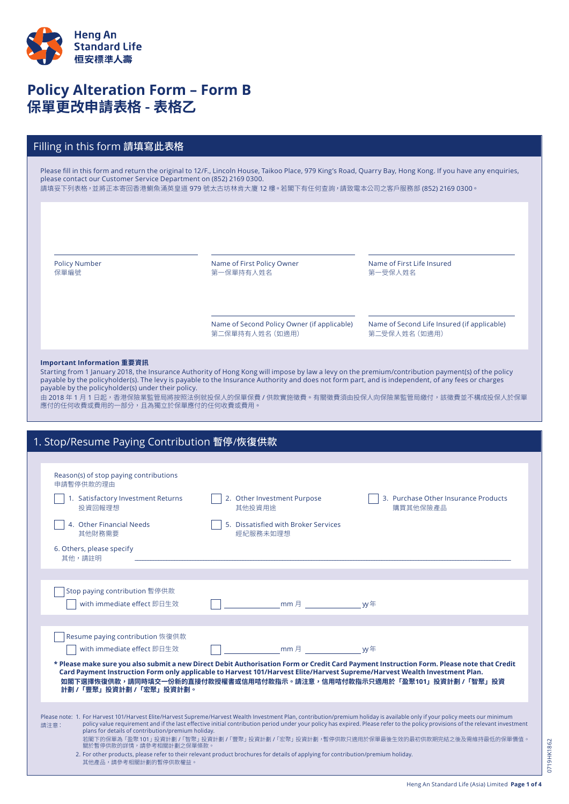

# **Policy Alteration Form – Form B 保單更改申請表格 - 表格乙**

## Filling in this form 請填寫此表格

Please fill in this form and return the original to 12/F., Lincoln House, Taikoo Place, 979 King's Road, Quarry Bay, Hong Kong. If you have any enquiries, please contact our Customer Service Department on (852) 2169 0300.

請填妥下列表格,並將正本寄回香港鰂魚涌英皇道 979 號太古坊林肯大廈 12 樓。若閣下有任何查詢,請致電本公司之客戶服務部 (852) 2169 0300。

Policy Number 保單編號

Name of First Policy Owner 第一保單持有人姓名

Name of First Life Insured 第一受保人姓名

Name of Second Policy Owner (if applicable) 第二保單持有人姓名(如適用)

Name of Second Life Insured (if applicable) 第二受保人姓名(如適用)

### **Important Information 重要資訊**

Starting from 1 January 2018, the Insurance Authority of Hong Kong will impose by law a levy on the premium/contribution payment(s) of the policy payable by the policyholder(s). The levy is payable to the Insurance Authority and does not form part, and is independent, of any fees or charges payable by the policyholder(s) under their policy.

由 2018 年 1 月 1 日起,香港保險業監管局將按照法例就投保人的保單保費 / 供款實施徵費。有關徵費須由投保人向保險業監管局繳付,該徵費並不構成投保人於保單 應付的任何收費或費用的一部分,且為獨立於保單應付的任何收費或費用。

| 1. Stop/Resume Paying Contribution 暫停/恢復供款                                                                                                                                                                                                                                                                                                                                                                                                                                                                                                     |
|------------------------------------------------------------------------------------------------------------------------------------------------------------------------------------------------------------------------------------------------------------------------------------------------------------------------------------------------------------------------------------------------------------------------------------------------------------------------------------------------------------------------------------------------|
|                                                                                                                                                                                                                                                                                                                                                                                                                                                                                                                                                |
| Reason(s) of stop paying contributions<br>申請暫停供款的理由                                                                                                                                                                                                                                                                                                                                                                                                                                                                                            |
| 1. Satisfactory Investment Returns<br>2. Other Investment Purpose<br>3. Purchase Other Insurance Products<br>其他投資用涂<br>投資回報理想<br>購買其他保險產品                                                                                                                                                                                                                                                                                                                                                                                                      |
| 5. Dissatisfied with Broker Services<br>4. Other Financial Needs<br>其他財務需要<br>經紀服務未如理想                                                                                                                                                                                                                                                                                                                                                                                                                                                         |
| 6. Others, please specify<br>其他,請註明                                                                                                                                                                                                                                                                                                                                                                                                                                                                                                            |
|                                                                                                                                                                                                                                                                                                                                                                                                                                                                                                                                                |
| Stop paying contribution 暫停供款                                                                                                                                                                                                                                                                                                                                                                                                                                                                                                                  |
| with immediate effect 即日生效<br>mm 月             w年                                                                                                                                                                                                                                                                                                                                                                                                                                                                                              |
|                                                                                                                                                                                                                                                                                                                                                                                                                                                                                                                                                |
| Resume paying contribution 恢復供款                                                                                                                                                                                                                                                                                                                                                                                                                                                                                                                |
| mm 月           yy年<br>with immediate effect 即日生效                                                                                                                                                                                                                                                                                                                                                                                                                                                                                               |
| * Please make sure you also submit a new Direct Debit Authorisation Form or Credit Card Payment Instruction Form. Please note that Credit<br>Card Payment Instruction Form only applicable to Harvest 101/Harvest Elite/Harvest Supreme/Harvest Wealth Investment Plan.                                                                                                                                                                                                                                                                        |
| 如閣下選擇恢復供款,請同時填交一份新的直接付款授權書或信用咭付款指示。請注意,信用咭付款指示只適用於「盈聚101」投資計劃 /「智聚」投資                                                                                                                                                                                                                                                                                                                                                                                                                                                                          |
| 計劃 / 「豐聚」投資計劃 / 「宏聚」投資計劃。                                                                                                                                                                                                                                                                                                                                                                                                                                                                                                                      |
| Please note: 1. For Harvest 101/Harvest Elite/Harvest Supreme/Harvest Wealth Investment Plan, contribution/premium holiday is available only if your policy meets our minimum<br>policy value requirement and if the last effective initial contribution period under your policy has expired. Please refer to the policy provisions of the relevant investment<br>請注意:<br>plans for details of contribution/premium holiday.<br>若閣下的保單為「盈聚101」投資計劃/「智聚」投資計劃/「豐聚」投資計劃/「宏聚」投資計劃,暫停供款只適用於保單最後生效的最初供款期完結之後及需維持最低的保單價值。<br>關於暫停供款的詳情,請參考相關計劃之保單條款。 |
| 2. For other products, please refer to their relevant product brochures for details of applying for contribution/premium holiday.<br>其他產品,請參考相關計劃的暫停供款權益。                                                                                                                                                                                                                                                                                                                                                                                      |

0719HK1862 0719HK1862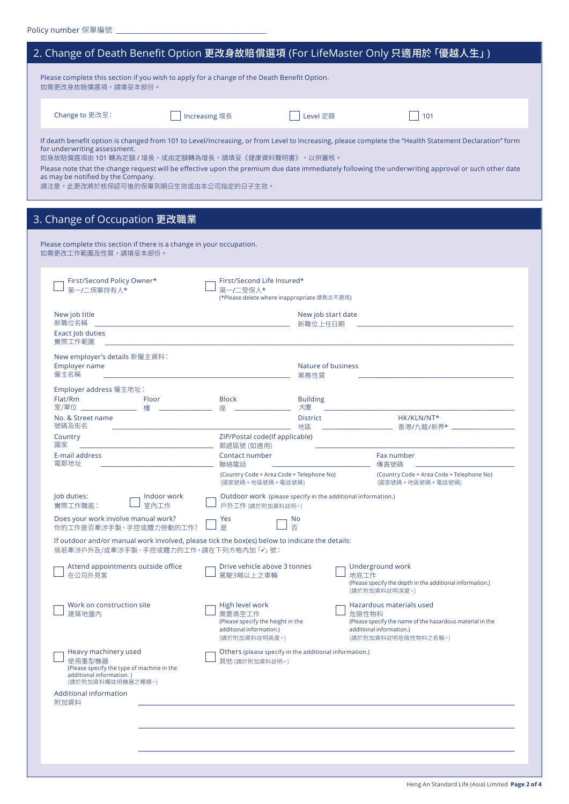|                                    |                                                                                             |          | 2. Change of Death Benefit Option 更改身故賠償選項 (For LifeMaster Only 只適用於「優越人生」)                                                                           |
|------------------------------------|---------------------------------------------------------------------------------------------|----------|-------------------------------------------------------------------------------------------------------------------------------------------------------|
| 如需更改身故賠償選項,請填妥本部份。                 | Please complete this section if you wish to apply for a change of the Death Benefit Option. |          |                                                                                                                                                       |
| Change to 更改至:                     | Increasing 增長                                                                               | Level 定額 | 101                                                                                                                                                   |
| for underwriting assessment.       | 如身故賠償撰項由 101 轉為定額 / 增長,或由定額轉為增長,請填妥《健康資料聲明書》,以供審核。                                          |          | If death benefit option is changed from 101 to Level/Increasing, or from Level to Increasing, please complete the "Health Statement Declaration" form |
| as may be notified by the Company. | 請注意,此更改將於核保認可後的保單到期日生效或由本公司指定的日子生效。                                                         |          | Please note that the change request will be effective upon the premium due date immediately following the underwriting approval or such other date    |

## 3. Change of Occupation 更改職業

| First/Second Policy Owner*<br>第一/二保單持有人*                                                                                               |                     | First/Second Life Insured*<br>第一/二受保人*<br>(*Please delete where inappropriate 請刪去不適用)                       |                                                              |                                                                                                                                                   |
|----------------------------------------------------------------------------------------------------------------------------------------|---------------------|-------------------------------------------------------------------------------------------------------------|--------------------------------------------------------------|---------------------------------------------------------------------------------------------------------------------------------------------------|
| New job title<br>新職位名稱                                                                                                                 |                     | the control of the control of the control of the control of the control of the control of                   | New job start date<br>新職位上任日期                                |                                                                                                                                                   |
| Exact Job duties<br>實際工作範圍                                                                                                             |                     |                                                                                                             |                                                              |                                                                                                                                                   |
| New employer's details 新僱主資料:<br>Employer name<br>僱主名稱                                                                                 |                     | the control of the control of the control of the control of the control of                                  | Nature of business<br>業務性質                                   |                                                                                                                                                   |
| Employer address 僱主地址:<br>Flat/Rm<br>Floor                                                                                             |                     | <b>Block</b><br>座 _____________________                                                                     | <b>Building</b><br>大廈                                        |                                                                                                                                                   |
| No. & Street name<br>號碼及街名                                                                                                             |                     |                                                                                                             | <b>District</b><br>地區                                        | HK/KLN/NT*                                                                                                                                        |
| Country<br>國家                                                                                                                          |                     | ZIP/Postal code(If applicable)                                                                              |                                                              |                                                                                                                                                   |
|                                                                                                                                        |                     |                                                                                                             |                                                              |                                                                                                                                                   |
| E-mail address<br>電郵地址                                                                                                                 |                     | Contact number<br>聯絡電話                                                                                      |                                                              | Fax number<br>傳真號碼                                                                                                                                |
|                                                                                                                                        |                     | (Country Code + Area Code + Telephone No)<br>(國家號碼 + 地區號碼 + 電話號碼)                                           |                                                              | (Country Code + Area Code + Telephone No)<br>(國家號碼 + 地區號碼 + 電話號碼)                                                                                 |
| Job duties:<br>實際工作職能:                                                                                                                 | Indoor work<br>室內工作 | 戶外工作 (請於附加資料註明。)                                                                                            | Outdoor work (please specify in the additional information.) |                                                                                                                                                   |
| Does your work involve manual work?<br>你的工作是否牽涉手製、手控或體力勞動的工作?                                                                          |                     | Yes<br>是                                                                                                    | No.<br>否                                                     |                                                                                                                                                   |
| If outdoor and/or manual work involved, please tick the box(es) below to indicate the details:<br>倘若牽涉戶外及/或牽涉手製、手控或體力的工作,請在下列方格內加「√」號: |                     |                                                                                                             |                                                              |                                                                                                                                                   |
| Attend appointments outside office<br>在公司外見客                                                                                           |                     | Drive vehicle above 3 tonnes<br>駕駛3噸以上之車輛                                                                   | 地底工作                                                         | Underground work<br>(Please specify the depth in the additional information.)<br>(請於附加資料註明深度。)                                                    |
| Work on construction site<br>建築地盤內                                                                                                     |                     | High level work<br>需要高空工作<br>(Please specify the height in the<br>additional information.)<br>(請於附加資料註明高度。) |                                                              | Hazardous materials used<br>危險性物料<br>(Please specify the name of the hazardous material in the<br>additional information.)<br>(請於附加資料註明危險性物料之名稱。) |
| Heavy machinery used<br>使用重型機器<br>(Please specify the type of machine in the<br>additional information.)<br>(請於附加資料欄註明機器之種類。)          |                     | 其他 (請於附加資料註明。)                                                                                              | Others (please specify in the additional information.)       |                                                                                                                                                   |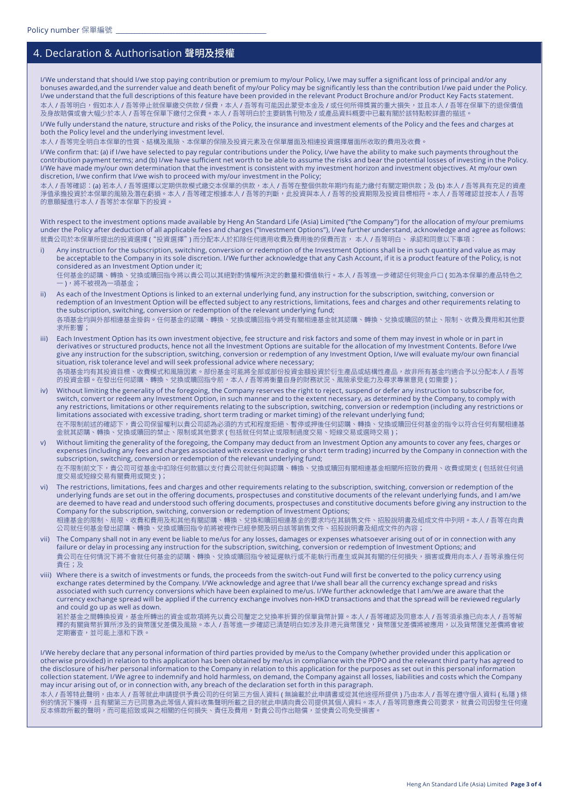## 4. Declaration & Authorisation 聲明及授權

I/We understand that should I/we stop paying contribution or premium to my/our Policy, I/we may suffer a significant loss of principal and/or any bonuses awarded,and the surrender value and death benefit of my/our Policy may be significantly less than the contribution I/we paid under the Policy. I/we understand that the full descriptions of this feature have been provided in the relevant Product Brochure and/or Product Key Facts statement. 本人 / 吾等明白,假如本人 / 吾等停止就保單繳交供款 / 保費,本人 / 吾等有可能因此蒙受本金及 / 或任何所得獎賞的重大損失,並且本人 / 吾等在保單下的退保價值 及身故賠償或會大幅少於本人 / 吾等在保單下繳付之保費。本人 / 吾等明白於主要銷售刊物及 / 或產品資料概要中已載有關於該特點較詳盡的描述。

I/We fully understand the nature, structure and risks of the Policy, the insurance and investment elements of the Policy and the fees and charges at both the Policy level and the underlying investment level.

本人 / 吾等完全明白本保單的性質、結構及風險、本保單的保險及投資元素及在保單層面及相連投資選擇層面所收取的費用及收費。

I/We confirm that: (a) if I/we have selected to pay regular contributions under the Policy, I/we have the ability to make such payments throughout the contribution payment terms; and (b) I/we have sufficient net worth to be able to assume the risks and bear the potential losses of investing in the Policy. I/We have made my/our own determination that the investment is consistent with my investment horizon and investment objectives. At my/our own discretion, I/we confirm that I/we wish to proceed with my/our investment in the Policy;

本人 / 吾等確認:(a) 若本人 / 吾等選擇以定期供款模式繳交本保單的供款,本人 / 吾等在整個供款年期均有能力繳付有關定期供款;及 (b) 本人 / 吾等具有充足的資產 淨值承擔投資於本保單的風險及潛在虧損。本人 / 吾等確定根據本人 / 吾等的判斷,此投資與本人 / 吾等的投資期限及投資目標相符。本人 / 吾等確認並按本人 / 吾等 的意願擬進行本人 / 吾等於本保單下的投資。

With respect to the investment options made available by Heng An Standard Life (Asia) Limited ("the Company") for the allocation of my/our premiums under the Policy after deduction of all applicable fees and charges ("Investment Options"), I/we further understand, acknowledge and agree as follows: 就貴公司於本保單所提出的投資選擇 ("投資選擇") 而分配本人於扣除任何適用收費及費用後的保費而言, 本人 / 吾等明白、 承認和同意以下事項:

- i) Any instruction for the subscription, switching, conversion or redemption of the Investment Options shall be in such quantity and value as may be acceptable to the Company in its sole discretion. I/We further acknowledge that any Cash Account, if it is a product feature of the Policy, is not considered as an Investment Option under it; 任何基金的認購、轉換、兌換或贖回指令將以貴公司以其絕對酌情權所決定的數量和價值執行。本人 / 吾等進一步確認任何現金戶口 ( 如為本保單的產品特色之 一 ),將不被視為一項基金;
- ii) As each of the Investment Options is linked to an external underlying fund, any instruction for the subscription, switching, conversion or redemption of an Investment Option will be effected subject to any restrictions, limitations, fees and charges and other requirements relating to the subscription, switching, conversion or redemption of the relevant underlying fund; 各項基金均與外部相連基金掛鈎。任何基金的認購、轉換、兌換或贖回指令將受有關相連基金就其認購、轉換、兌換或贖回的禁止、限制、收費及費用和其他要 求所影響;
- iii) Each Investment Option has its own investment objective, fee structure and risk factors and some of them may invest in whole or in part in derivatives or structured products, hence not all the Investment Options are suitable for the allocation of my Investment Contents. Before I/we give any instruction for the subscription, switching, conversion or redemption of any Investment Option, I/we will evaluate my/our own financial situation, risk tolerance level and will seek professional advice where necessary; 各項基金均有其投資目標、收費模式和風險因素。部份基金可能將全部或部份投資金額投資於衍生產品或結構性產品,故非所有基金均適合予以分配本人 / 吾等 的投資金額。在發出任何認購、轉換、兌換或贖口指令前,本人 / 吾等將衡量自身的財務狀況、風險承受能力及尋求專業意見 ( 如需要 ) ;
- iv) Without limiting the generality of the foregoing, the Company reserves the right to reject, suspend or defer any instruction to subscribe for, switch, convert or redeem any Investment Option, in such manner and to the extent necessary, as determined by the Company, to comply with any restrictions, limitations or other requirements relating to the subscription, switching, conversion or redemption (including any restrictions or limitations associated with excessive trading, short term trading or market timing) of the relevant underlying fund; 在不限制前述的確認下,貴公司保留權利以貴公司認為必須的方式和程度拒絕、暫停或押後任何認購、轉換、兌換或贖回任何基金的指令以符合任何有關相連基 金就其認購、轉換、兌換或贖回的禁止、限制或其他要求 ( 包括就任何禁止或限制過度交易、短線交易或選時交易 );
- v) Without limiting the generality of the foregoing, the Company may deduct from an Investment Option any amounts to cover any fees, charges or expenses (including any fees and charges associated with excessive trading or short term trading) incurred by the Company in connection with the subscription, switching, conversion or redemption of the relevant underlying fund; 在不限制前文下,貴公司可從基金中扣除任何款額以支付貴公司就任何與認購、轉換、兌換或贖回有關相連基金相關所招致的費用、收費或開支 ( 包括就任何過 度交易或短線交易有關費用或開支 );
- vi) The restrictions, limitations, fees and charges and other requirements relating to the subscription, switching, conversion or redemption of the underlying funds are set out in the offering documents, prospectuses and constitutive documents of the relevant underlying funds, and I am/we are deemed to have read and understood such offering documents, prospectuses and constitutive documents before giving any instruction to the Company for the subscription, switching, conversion or redemption of Investment Options; 相連基金的限制、局限、收費和費用及和其他有關認購、轉換、兌換和贖回相連基金的要求均在其銷售文件、招股說明書及組成文件中列明。本人 / 吾等在向貴 公司就任何基金發出認購、轉換、兌換或贖回指令前將被視作已經參閱及明白該等銷售文件、招股說明書及組成文件的內容;
- vii) The Company shall not in any event be liable to me/us for any losses, damages or expenses whatsoever arising out of or in connection with any failure or delay in processing any instruction for the subscription, switching, conversion or redemption of Investment Options; and 貴公司在任何情況下將不會就任何基金的認購、轉換、兌換或贖回指令被延遲執行或不能執行而產生或與其有關的任何損失,損害或費用向本人 / 吾等承擔任何 責任;及
- viii) Where there is a switch of investments or funds, the proceeds from the switch-out Fund will first be converted to the policy currency using exchange rates determined by the Company. I/We acknowledge and agree that I/we shall bear all the currency exchange spread and risks associated with such currency conversions which have been explained to me/us. I/We further acknowledge that I am/we are aware that the currency exchange spread will be applied if the currency exchange involves non-HKD transactions and that the spread will be reviewed regularly and could go up as well as down.

若於基金之間轉換投資,基金所轉出的資金或款項將先以貴公司釐定之兌換率折算的保單貨幣計算。本人 / 吾等確認及同意本人 / 吾等須承擔已向本人 / 吾等解 釋的有關貨幣折算所涉及的貨幣匯兌差價及風險。本人 / 吾等進一步確認已清楚明白如涉及非港元貨幣匯兌,貨幣匯兌差價將被應用,以及貨幣匯兌差價將會被 定期審查,並可能上漲和下跌。

I/We hereby declare that any personal information of third parties provided by me/us to the Company (whether provided under this application or otherwise provided) in relation to this application has been obtained by me/us in compliance with the PDPO and the relevant third party has agreed to the disclosure of his/her personal information to the Company in relation to this application for the purposes as set out in this personal information collection statement. I/We agree to indemnify and hold harmless, on demand, the Company against all losses, liabilities and costs which the Company may incur arising out of, or in connection with, any breach of the declaration set forth in this paragraph.

本人 / 吾等特此聲明,由本人 / 吾等就此申請提供予貴公司的任何第三方個人資料 ( 無論載於此申請書或從其他途徑所提供 ) 乃由本人 / 吾等在遵守個人資料 ( 私隱 ) 條 例的情況下獲得,且有關第三方已同意為此等個人資料收集聲明所載之目的就此申請向貴公司提供其個人資料。本人 / 吾等同意應貴公司要求,就貴公司因發生任何違 反本條款所載的聲明,而可能招致或與之相關的任何損失、責任及費用,對貴公司作出賠償,並使貴公司免受損害。